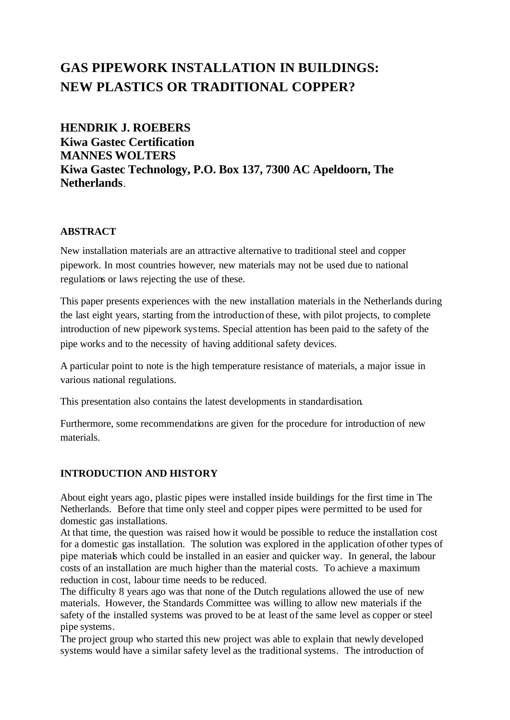# **GAS PIPEWORK INSTALLATION IN BUILDINGS: NEW PLASTICS OR TRADITIONAL COPPER?**

**HENDRIK J. ROEBERS Kiwa Gastec Certification MANNES WOLTERS Kiwa Gastec Technology, P.O. Box 137, 7300 AC Apeldoorn, The Netherlands**.

#### **ABSTRACT**

New installation materials are an attractive alternative to traditional steel and copper pipework. In most countries however, new materials may not be used due to national regulations or laws rejecting the use of these.

This paper presents experiences with the new installation materials in the Netherlands during the last eight years, starting from the introduction of these, with pilot projects, to complete introduction of new pipework systems. Special attention has been paid to the safety of the pipe works and to the necessity of having additional safety devices.

A particular point to note is the high temperature resistance of materials, a major issue in various national regulations.

This presentation also contains the latest developments in standardisation.

Furthermore, some recommendations are given for the procedure for introduction of new materials.

## **INTRODUCTION AND HISTORY**

About eight years ago, plastic pipes were installed inside buildings for the first time in The Netherlands. Before that time only steel and copper pipes were permitted to be used for domestic gas installations.

At that time, the question was raised how it would be possible to reduce the installation cost for a domestic gas installation. The solution was explored in the application of other types of pipe materials which could be installed in an easier and quicker way. In general, the labour costs of an installation are much higher than the material costs. To achieve a maximum reduction in cost, labour time needs to be reduced.

The difficulty 8 years ago was that none of the Dutch regulations allowed the use of new materials. However, the Standards Committee was willing to allow new materials if the safety of the installed systems was proved to be at least of the same level as copper or steel pipe systems.

The project group who started this new project was able to explain that newly developed systems would have a similar safety level as the traditional systems. The introduction of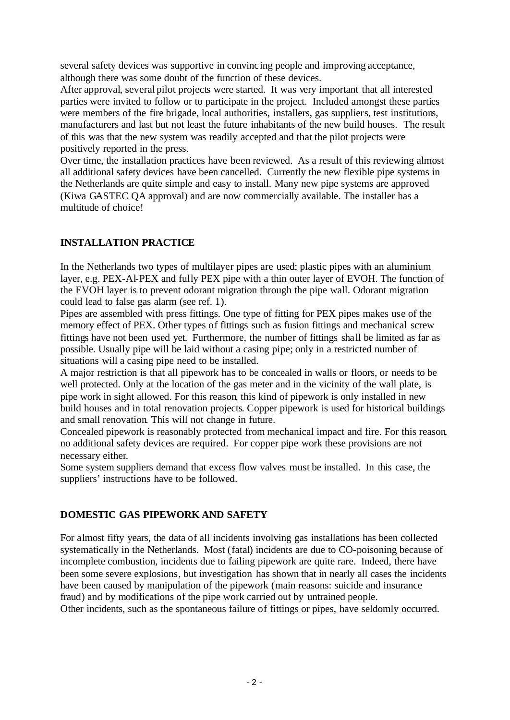several safety devices was supportive in convincing people and improving acceptance, although there was some doubt of the function of these devices.

After approval, several pilot projects were started. It was very important that all interested parties were invited to follow or to participate in the project. Included amongst these parties were members of the fire brigade, local authorities, installers, gas suppliers, test institutions, manufacturers and last but not least the future inhabitants of the new build houses. The result of this was that the new system was readily accepted and that the pilot projects were positively reported in the press.

Over time, the installation practices have been reviewed. As a result of this reviewing almost all additional safety devices have been cancelled. Currently the new flexible pipe systems in the Netherlands are quite simple and easy to install. Many new pipe systems are approved (Kiwa GASTEC QA approval) and are now commercially available. The installer has a multitude of choice!

## **INSTALLATION PRACTICE**

In the Netherlands two types of multilayer pipes are used; plastic pipes with an aluminium layer, e.g. PEX-Al-PEX and fully PEX pipe with a thin outer layer of EVOH. The function of the EVOH layer is to prevent odorant migration through the pipe wall. Odorant migration could lead to false gas alarm (see ref. 1).

Pipes are assembled with press fittings. One type of fitting for PEX pipes makes use of the memory effect of PEX. Other types of fittings such as fusion fittings and mechanical screw fittings have not been used yet. Furthermore, the number of fittings shall be limited as far as possible. Usually pipe will be laid without a casing pipe; only in a restricted number of situations will a casing pipe need to be installed.

A major restriction is that all pipework has to be concealed in walls or floors, or needs to be well protected. Only at the location of the gas meter and in the vicinity of the wall plate, is pipe work in sight allowed. For this reason, this kind of pipework is only installed in new build houses and in total renovation projects. Copper pipework is used for historical buildings and small renovation. This will not change in future.

Concealed pipework is reasonably protected from mechanical impact and fire. For this reason, no additional safety devices are required. For copper pipe work these provisions are not necessary either.

Some system suppliers demand that excess flow valves must be installed. In this case, the suppliers' instructions have to be followed.

## **DOMESTIC GAS PIPEWORK AND SAFETY**

For almost fifty years, the data of all incidents involving gas installations has been collected systematically in the Netherlands. Most (fatal) incidents are due to CO-poisoning because of incomplete combustion, incidents due to failing pipework are quite rare. Indeed, there have been some severe explosions, but investigation has shown that in nearly all cases the incidents have been caused by manipulation of the pipework (main reasons: suicide and insurance fraud) and by modifications of the pipe work carried out by untrained people. Other incidents, such as the spontaneous failure of fittings or pipes, have seldomly occurred.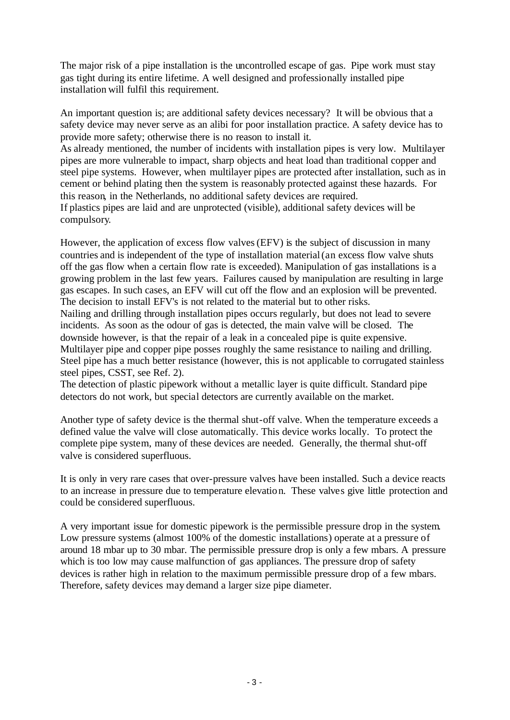The major risk of a pipe installation is the uncontrolled escape of gas. Pipe work must stay gas tight during its entire lifetime. A well designed and professionally installed pipe installation will fulfil this requirement.

An important question is; are additional safety devices necessary? It will be obvious that a safety device may never serve as an alibi for poor installation practice. A safety device has to provide more safety; otherwise there is no reason to install it.

As already mentioned, the number of incidents with installation pipes is very low. Multilayer pipes are more vulnerable to impact, sharp objects and heat load than traditional copper and steel pipe systems. However, when multilayer pipes are protected after installation, such as in cement or behind plating then the system is reasonably protected against these hazards. For this reason, in the Netherlands, no additional safety devices are required. If plastics pipes are laid and are unprotected (visible), additional safety devices will be compulsory.

However, the application of excess flow valves (EFV) is the subject of discussion in many countries and is independent of the type of installation material(an excess flow valve shuts off the gas flow when a certain flow rate is exceeded). Manipulation of gas installations is a growing problem in the last few years. Failures caused by manipulation are resulting in large gas escapes. In such cases, an EFV will cut off the flow and an explosion will be prevented. The decision to install EFV's is not related to the material but to other risks.

Nailing and drilling through installation pipes occurs regularly, but does not lead to severe incidents. As soon as the odour of gas is detected, the main valve will be closed. The downside however, is that the repair of a leak in a concealed pipe is quite expensive. Multilayer pipe and copper pipe posses roughly the same resistance to nailing and drilling. Steel pipe has a much better resistance (however, this is not applicable to corrugated stainless steel pipes, CSST, see Ref. 2).

The detection of plastic pipework without a metallic layer is quite difficult. Standard pipe detectors do not work, but special detectors are currently available on the market.

Another type of safety device is the thermal shut-off valve. When the temperature exceeds a defined value the valve will close automatically. This device works locally. To protect the complete pipe system, many of these devices are needed. Generally, the thermal shut-off valve is considered superfluous.

It is only in very rare cases that over-pressure valves have been installed. Such a device reacts to an increase in pressure due to temperature elevation. These valves give little protection and could be considered superfluous.

A very important issue for domestic pipework is the permissible pressure drop in the system. Low pressure systems (almost 100% of the domestic installations) operate at a pressure of around 18 mbar up to 30 mbar. The permissible pressure drop is only a few mbars. A pressure which is too low may cause malfunction of gas appliances. The pressure drop of safety devices is rather high in relation to the maximum permissible pressure drop of a few mbars. Therefore, safety devices may demand a larger size pipe diameter.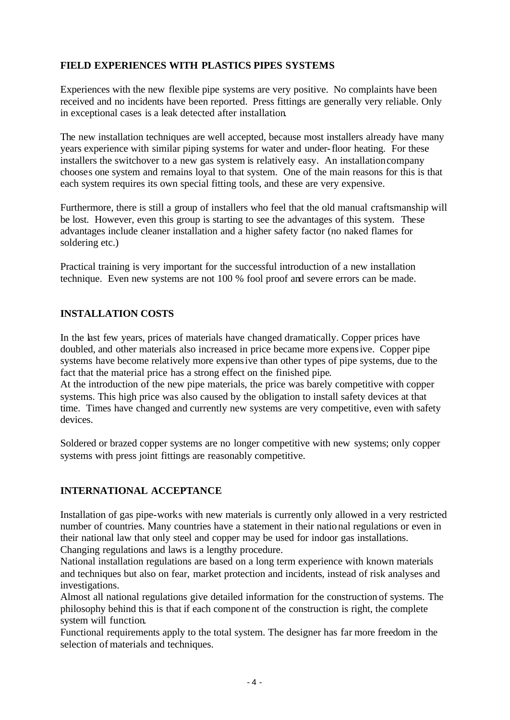## **FIELD EXPERIENCES WITH PLASTICS PIPES SYSTEMS**

Experiences with the new flexible pipe systems are very positive. No complaints have been received and no incidents have been reported. Press fittings are generally very reliable. Only in exceptional cases is a leak detected after installation.

The new installation techniques are well accepted, because most installers already have many years experience with similar piping systems for water and under-floor heating. For these installers the switchover to a new gas system is relatively easy. An installation company chooses one system and remains loyal to that system. One of the main reasons for this is that each system requires its own special fitting tools, and these are very expensive.

Furthermore, there is still a group of installers who feel that the old manual craftsmanship will be lost. However, even this group is starting to see the advantages of this system. These advantages include cleaner installation and a higher safety factor (no naked flames for soldering etc.)

Practical training is very important for the successful introduction of a new installation technique. Even new systems are not 100 % fool proof and severe errors can be made.

#### **INSTALLATION COSTS**

In the last few years, prices of materials have changed dramatically. Copper prices have doubled, and other materials also increased in price became more expensive. Copper pipe systems have become relatively more expensive than other types of pipe systems, due to the fact that the material price has a strong effect on the finished pipe.

At the introduction of the new pipe materials, the price was barely competitive with copper systems. This high price was also caused by the obligation to install safety devices at that time. Times have changed and currently new systems are very competitive, even with safety devices.

Soldered or brazed copper systems are no longer competitive with new systems; only copper systems with press joint fittings are reasonably competitive.

#### **INTERNATIONAL ACCEPTANCE**

Installation of gas pipe-works with new materials is currently only allowed in a very restricted number of countries. Many countries have a statement in their national regulations or even in their national law that only steel and copper may be used for indoor gas installations. Changing regulations and laws is a lengthy procedure.

National installation regulations are based on a long term experience with known materials and techniques but also on fear, market protection and incidents, instead of risk analyses and investigations.

Almost all national regulations give detailed information for the construction of systems. The philosophy behind this is that if each component of the construction is right, the complete system will function.

Functional requirements apply to the total system. The designer has far more freedom in the selection of materials and techniques.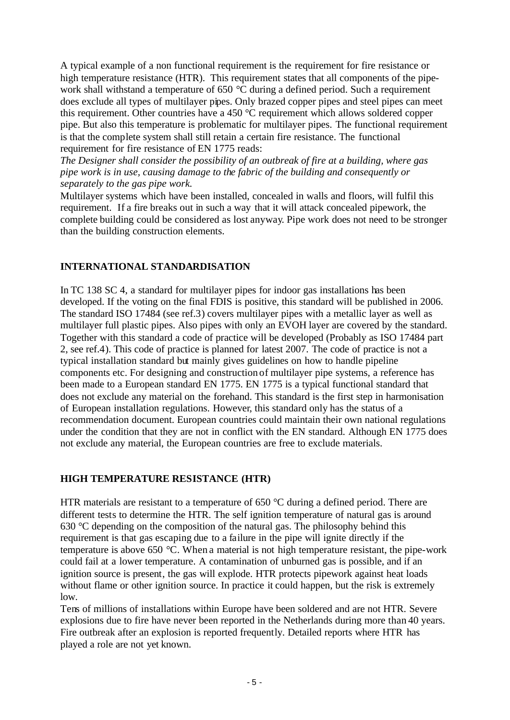A typical example of a non functional requirement is the requirement for fire resistance or high temperature resistance (HTR). This requirement states that all components of the pipework shall withstand a temperature of 650 °C during a defined period. Such a requirement does exclude all types of multilayer pipes. Only brazed copper pipes and steel pipes can meet this requirement. Other countries have a 450 °C requirement which allows soldered copper pipe. But also this temperature is problematic for multilayer pipes. The functional requirement is that the complete system shall still retain a certain fire resistance. The functional requirement for fire resistance of EN 1775 reads:

*The Designer shall consider the possibility of an outbreak of fire at a building, where gas pipe work is in use, causing damage to the fabric of the building and consequently or separately to the gas pipe work.*

Multilayer systems which have been installed, concealed in walls and floors, will fulfil this requirement. If a fire breaks out in such a way that it will attack concealed pipework, the complete building could be considered as lost anyway. Pipe work does not need to be stronger than the building construction elements.

## **INTERNATIONAL STANDARDISATION**

In TC 138 SC 4, a standard for multilayer pipes for indoor gas installations has been developed. If the voting on the final FDIS is positive, this standard will be published in 2006. The standard ISO 17484 (see ref.3) covers multilayer pipes with a metallic layer as well as multilayer full plastic pipes. Also pipes with only an EVOH layer are covered by the standard. Together with this standard a code of practice will be developed (Probably as ISO 17484 part 2, see ref.4). This code of practice is planned for latest 2007. The code of practice is not a typical installation standard but mainly gives guidelines on how to handle pipeline components etc. For designing and construction of multilayer pipe systems, a reference has been made to a European standard EN 1775. EN 1775 is a typical functional standard that does not exclude any material on the forehand. This standard is the first step in harmonisation of European installation regulations. However, this standard only has the status of a recommendation document. European countries could maintain their own national regulations under the condition that they are not in conflict with the EN standard. Although EN 1775 does not exclude any material, the European countries are free to exclude materials.

#### **HIGH TEMPERATURE RESISTANCE (HTR)**

HTR materials are resistant to a temperature of 650 °C during a defined period. There are different tests to determine the HTR. The self ignition temperature of natural gas is around  $630 \degree$ C depending on the composition of the natural gas. The philosophy behind this requirement is that gas escaping due to a failure in the pipe will ignite directly if the temperature is above 650 °C. When a material is not high temperature resistant, the pipe-work could fail at a lower temperature. A contamination of unburned gas is possible, and if an ignition source is present, the gas will explode. HTR protects pipework against heat loads without flame or other ignition source. In practice it could happen, but the risk is extremely low.

Tens of millions of installations within Europe have been soldered and are not HTR. Severe explosions due to fire have never been reported in the Netherlands during more than 40 years. Fire outbreak after an explosion is reported frequently. Detailed reports where HTR has played a role are not yet known.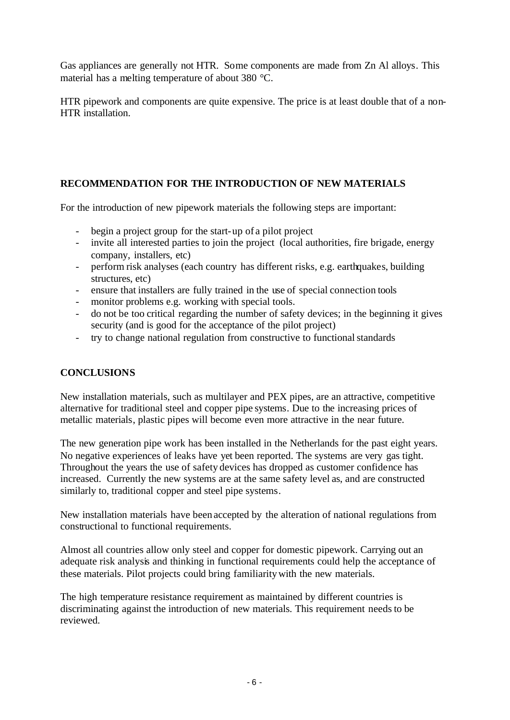Gas appliances are generally not HTR. Some components are made from Zn Al alloys. This material has a melting temperature of about 380 °C.

HTR pipework and components are quite expensive. The price is at least double that of a non-HTR installation.

## **RECOMMENDATION FOR THE INTRODUCTION OF NEW MATERIALS**

For the introduction of new pipework materials the following steps are important:

- begin a project group for the start-up of a pilot project
- invite all interested parties to join the project (local authorities, fire brigade, energy company, installers, etc)
- perform risk analyses (each country has different risks, e.g. earthquakes, building structures, etc)
- ensure that installers are fully trained in the use of special connection tools
- monitor problems e.g. working with special tools.
- do not be too critical regarding the number of safety devices; in the beginning it gives security (and is good for the acceptance of the pilot project)
- try to change national regulation from constructive to functional standards

#### **CONCLUSIONS**

New installation materials, such as multilayer and PEX pipes, are an attractive, competitive alternative for traditional steel and copper pipe systems. Due to the increasing prices of metallic materials, plastic pipes will become even more attractive in the near future.

The new generation pipe work has been installed in the Netherlands for the past eight years. No negative experiences of leaks have yet been reported. The systems are very gas tight. Throughout the years the use of safety devices has dropped as customer confidence has increased. Currently the new systems are at the same safety level as, and are constructed similarly to, traditional copper and steel pipe systems.

New installation materials have been accepted by the alteration of national regulations from constructional to functional requirements.

Almost all countries allow only steel and copper for domestic pipework. Carrying out an adequate risk analysis and thinking in functional requirements could help the acceptance of these materials. Pilot projects could bring familiarity with the new materials.

The high temperature resistance requirement as maintained by different countries is discriminating against the introduction of new materials. This requirement needs to be reviewed.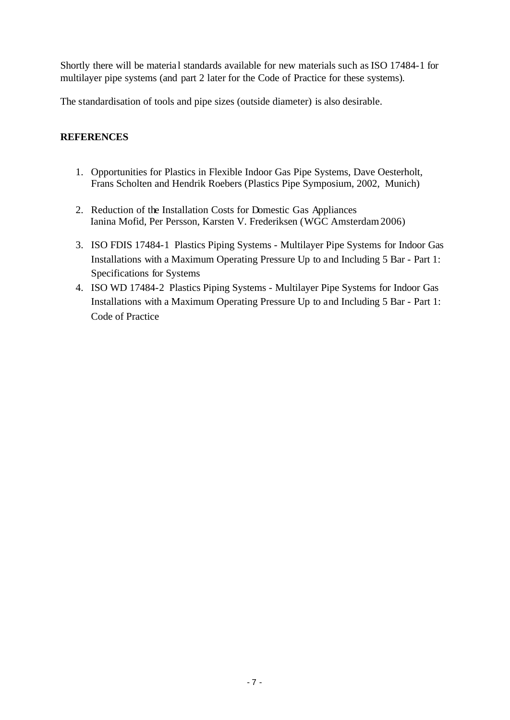Shortly there will be material standards available for new materials such as ISO 17484-1 for multilayer pipe systems (and part 2 later for the Code of Practice for these systems).

The standardisation of tools and pipe sizes (outside diameter) is also desirable.

#### **REFERENCES**

- 1. Opportunities for Plastics in Flexible Indoor Gas Pipe Systems, Dave Oesterholt, Frans Scholten and Hendrik Roebers (Plastics Pipe Symposium, 2002, Munich)
- 2. Reduction of the Installation Costs for Domestic Gas Appliances Ianina Mofid, Per Persson, Karsten V. Frederiksen (WGC Amsterdam 2006)
- 3. ISO FDIS 17484-1 Plastics Piping Systems Multilayer Pipe Systems for Indoor Gas Installations with a Maximum Operating Pressure Up to and Including 5 Bar - Part 1: Specifications for Systems
- 4. ISO WD 17484-2 Plastics Piping Systems Multilayer Pipe Systems for Indoor Gas Installations with a Maximum Operating Pressure Up to and Including 5 Bar - Part 1: Code of Practice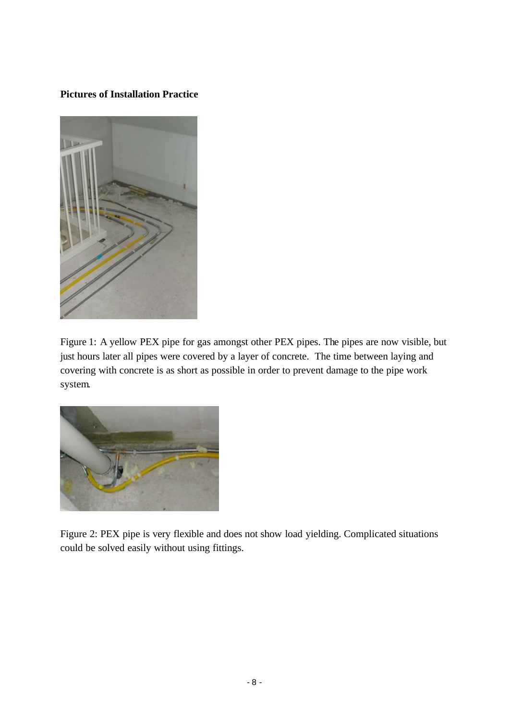## **Pictures of Installation Practice**



Figure 1: A yellow PEX pipe for gas amongst other PEX pipes. The pipes are now visible, but just hours later all pipes were covered by a layer of concrete. The time between laying and covering with concrete is as short as possible in order to prevent damage to the pipe work system.



Figure 2: PEX pipe is very flexible and does not show load yielding. Complicated situations could be solved easily without using fittings.